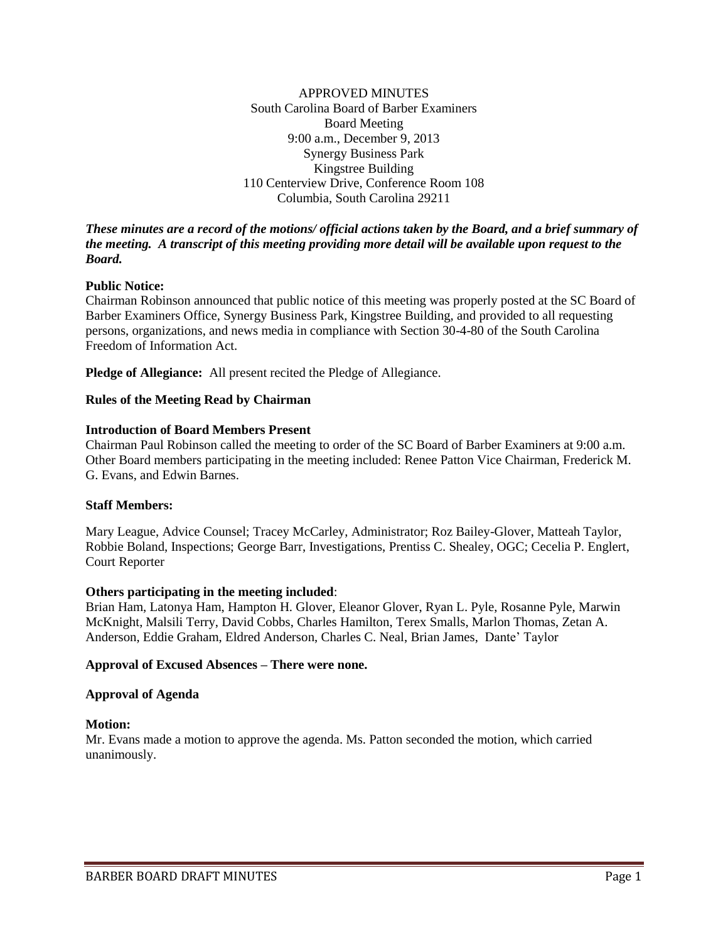APPROVED MINUTES South Carolina Board of Barber Examiners Board Meeting 9:00 a.m., December 9, 2013 Synergy Business Park Kingstree Building 110 Centerview Drive, Conference Room 108 Columbia, South Carolina 29211

### *These minutes are a record of the motions/ official actions taken by the Board, and a brief summary of the meeting. A transcript of this meeting providing more detail will be available upon request to the Board.*

## **Public Notice:**

Chairman Robinson announced that public notice of this meeting was properly posted at the SC Board of Barber Examiners Office, Synergy Business Park, Kingstree Building, and provided to all requesting persons, organizations, and news media in compliance with Section 30-4-80 of the South Carolina Freedom of Information Act.

**Pledge of Allegiance:** All present recited the Pledge of Allegiance.

### **Rules of the Meeting Read by Chairman**

### **Introduction of Board Members Present**

Chairman Paul Robinson called the meeting to order of the SC Board of Barber Examiners at 9:00 a.m. Other Board members participating in the meeting included: Renee Patton Vice Chairman, Frederick M. G. Evans, and Edwin Barnes.

### **Staff Members:**

Mary League, Advice Counsel; Tracey McCarley, Administrator; Roz Bailey-Glover, Matteah Taylor, Robbie Boland, Inspections; George Barr, Investigations, Prentiss C. Shealey, OGC; Cecelia P. Englert, Court Reporter

### **Others participating in the meeting included**:

Brian Ham, Latonya Ham, Hampton H. Glover, Eleanor Glover, Ryan L. Pyle, Rosanne Pyle, Marwin McKnight, Malsili Terry, David Cobbs, Charles Hamilton, Terex Smalls, Marlon Thomas, Zetan A. Anderson, Eddie Graham, Eldred Anderson, Charles C. Neal, Brian James, Dante' Taylor

### **Approval of Excused Absences – There were none.**

#### **Approval of Agenda**

### **Motion:**

Mr. Evans made a motion to approve the agenda. Ms. Patton seconded the motion, which carried unanimously.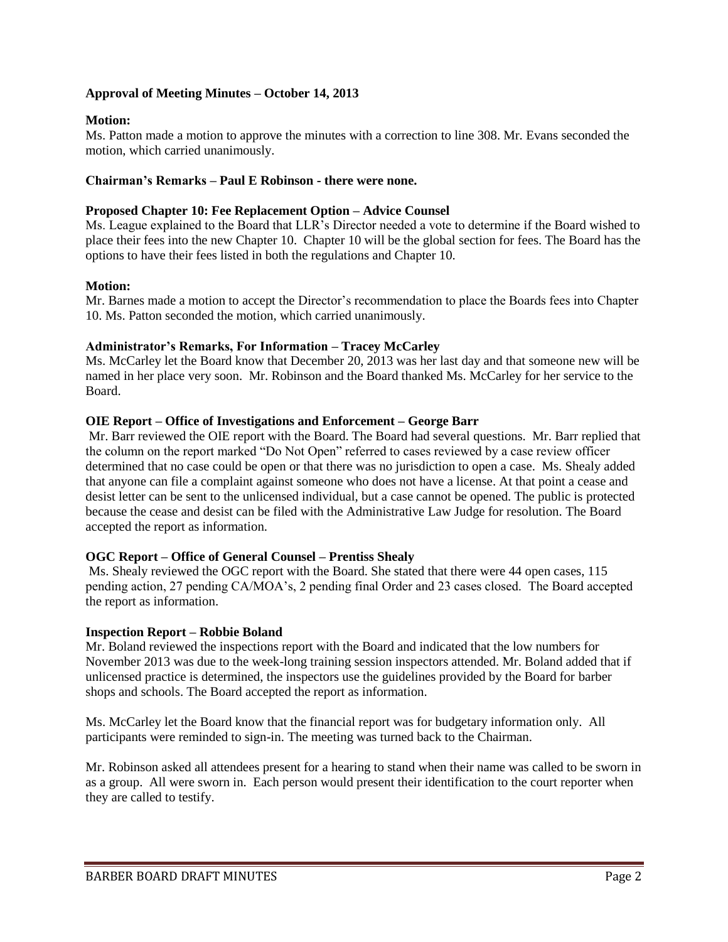# **Approval of Meeting Minutes – October 14, 2013**

# **Motion:**

Ms. Patton made a motion to approve the minutes with a correction to line 308. Mr. Evans seconded the motion, which carried unanimously.

# **Chairman's Remarks – Paul E Robinson - there were none.**

## **Proposed Chapter 10: Fee Replacement Option – Advice Counsel**

Ms. League explained to the Board that LLR's Director needed a vote to determine if the Board wished to place their fees into the new Chapter 10. Chapter 10 will be the global section for fees. The Board has the options to have their fees listed in both the regulations and Chapter 10.

# **Motion:**

Mr. Barnes made a motion to accept the Director's recommendation to place the Boards fees into Chapter 10. Ms. Patton seconded the motion, which carried unanimously.

## **Administrator's Remarks, For Information – Tracey McCarley**

Ms. McCarley let the Board know that December 20, 2013 was her last day and that someone new will be named in her place very soon. Mr. Robinson and the Board thanked Ms. McCarley for her service to the Board.

## **OIE Report – Office of Investigations and Enforcement – George Barr**

Mr. Barr reviewed the OIE report with the Board. The Board had several questions. Mr. Barr replied that the column on the report marked "Do Not Open" referred to cases reviewed by a case review officer determined that no case could be open or that there was no jurisdiction to open a case. Ms. Shealy added that anyone can file a complaint against someone who does not have a license. At that point a cease and desist letter can be sent to the unlicensed individual, but a case cannot be opened. The public is protected because the cease and desist can be filed with the Administrative Law Judge for resolution. The Board accepted the report as information.

## **OGC Report – Office of General Counsel – Prentiss Shealy**

Ms. Shealy reviewed the OGC report with the Board. She stated that there were 44 open cases, 115 pending action, 27 pending CA/MOA's, 2 pending final Order and 23 cases closed. The Board accepted the report as information.

## **Inspection Report – Robbie Boland**

Mr. Boland reviewed the inspections report with the Board and indicated that the low numbers for November 2013 was due to the week-long training session inspectors attended. Mr. Boland added that if unlicensed practice is determined, the inspectors use the guidelines provided by the Board for barber shops and schools. The Board accepted the report as information.

Ms. McCarley let the Board know that the financial report was for budgetary information only. All participants were reminded to sign-in. The meeting was turned back to the Chairman.

Mr. Robinson asked all attendees present for a hearing to stand when their name was called to be sworn in as a group. All were sworn in. Each person would present their identification to the court reporter when they are called to testify.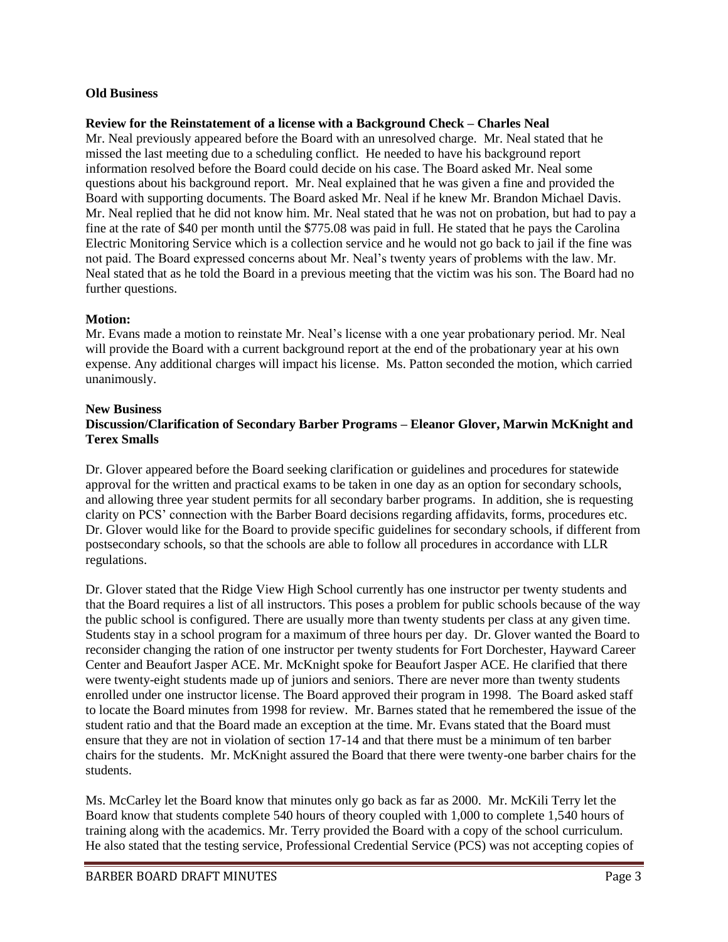## **Old Business**

## **Review for the Reinstatement of a license with a Background Check – Charles Neal**

Mr. Neal previously appeared before the Board with an unresolved charge. Mr. Neal stated that he missed the last meeting due to a scheduling conflict. He needed to have his background report information resolved before the Board could decide on his case. The Board asked Mr. Neal some questions about his background report. Mr. Neal explained that he was given a fine and provided the Board with supporting documents. The Board asked Mr. Neal if he knew Mr. Brandon Michael Davis. Mr. Neal replied that he did not know him. Mr. Neal stated that he was not on probation, but had to pay a fine at the rate of \$40 per month until the \$775.08 was paid in full. He stated that he pays the Carolina Electric Monitoring Service which is a collection service and he would not go back to jail if the fine was not paid. The Board expressed concerns about Mr. Neal's twenty years of problems with the law. Mr. Neal stated that as he told the Board in a previous meeting that the victim was his son. The Board had no further questions.

# **Motion:**

Mr. Evans made a motion to reinstate Mr. Neal's license with a one year probationary period. Mr. Neal will provide the Board with a current background report at the end of the probationary year at his own expense. Any additional charges will impact his license. Ms. Patton seconded the motion, which carried unanimously.

## **New Business**

# **Discussion/Clarification of Secondary Barber Programs – Eleanor Glover, Marwin McKnight and Terex Smalls**

Dr. Glover appeared before the Board seeking clarification or guidelines and procedures for statewide approval for the written and practical exams to be taken in one day as an option for secondary schools, and allowing three year student permits for all secondary barber programs. In addition, she is requesting clarity on PCS' connection with the Barber Board decisions regarding affidavits, forms, procedures etc. Dr. Glover would like for the Board to provide specific guidelines for secondary schools, if different from postsecondary schools, so that the schools are able to follow all procedures in accordance with LLR regulations.

Dr. Glover stated that the Ridge View High School currently has one instructor per twenty students and that the Board requires a list of all instructors. This poses a problem for public schools because of the way the public school is configured. There are usually more than twenty students per class at any given time. Students stay in a school program for a maximum of three hours per day. Dr. Glover wanted the Board to reconsider changing the ration of one instructor per twenty students for Fort Dorchester, Hayward Career Center and Beaufort Jasper ACE. Mr. McKnight spoke for Beaufort Jasper ACE. He clarified that there were twenty-eight students made up of juniors and seniors. There are never more than twenty students enrolled under one instructor license. The Board approved their program in 1998. The Board asked staff to locate the Board minutes from 1998 for review. Mr. Barnes stated that he remembered the issue of the student ratio and that the Board made an exception at the time. Mr. Evans stated that the Board must ensure that they are not in violation of section 17-14 and that there must be a minimum of ten barber chairs for the students. Mr. McKnight assured the Board that there were twenty-one barber chairs for the students.

Ms. McCarley let the Board know that minutes only go back as far as 2000. Mr. McKili Terry let the Board know that students complete 540 hours of theory coupled with 1,000 to complete 1,540 hours of training along with the academics. Mr. Terry provided the Board with a copy of the school curriculum. He also stated that the testing service, Professional Credential Service (PCS) was not accepting copies of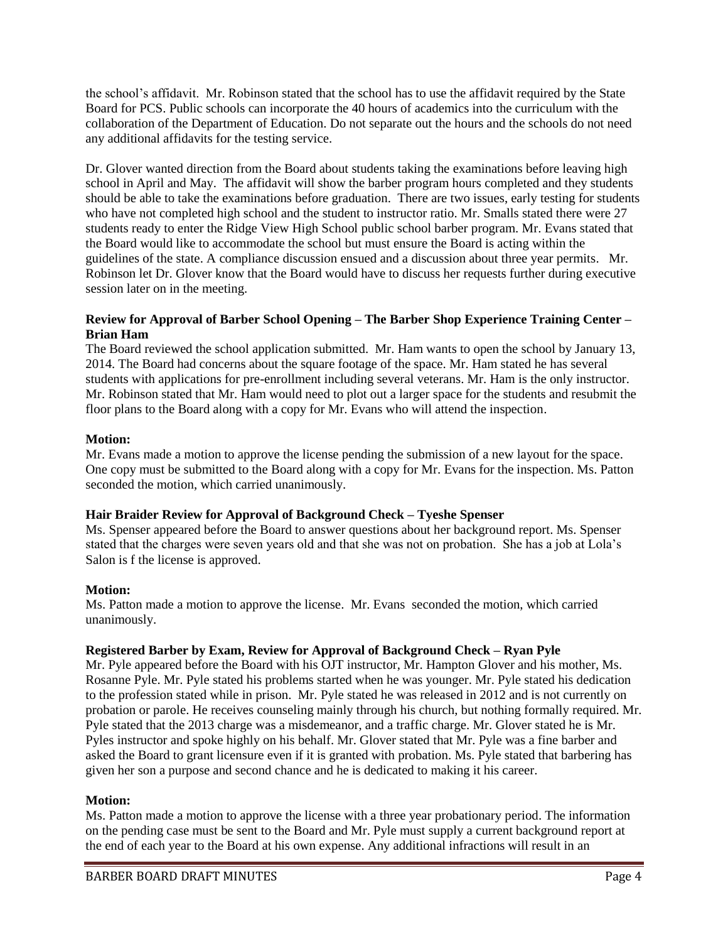the school's affidavit. Mr. Robinson stated that the school has to use the affidavit required by the State Board for PCS. Public schools can incorporate the 40 hours of academics into the curriculum with the collaboration of the Department of Education. Do not separate out the hours and the schools do not need any additional affidavits for the testing service.

Dr. Glover wanted direction from the Board about students taking the examinations before leaving high school in April and May. The affidavit will show the barber program hours completed and they students should be able to take the examinations before graduation. There are two issues, early testing for students who have not completed high school and the student to instructor ratio. Mr. Smalls stated there were 27 students ready to enter the Ridge View High School public school barber program. Mr. Evans stated that the Board would like to accommodate the school but must ensure the Board is acting within the guidelines of the state. A compliance discussion ensued and a discussion about three year permits. Mr. Robinson let Dr. Glover know that the Board would have to discuss her requests further during executive session later on in the meeting.

# **Review for Approval of Barber School Opening – The Barber Shop Experience Training Center – Brian Ham**

The Board reviewed the school application submitted. Mr. Ham wants to open the school by January 13, 2014. The Board had concerns about the square footage of the space. Mr. Ham stated he has several students with applications for pre-enrollment including several veterans. Mr. Ham is the only instructor. Mr. Robinson stated that Mr. Ham would need to plot out a larger space for the students and resubmit the floor plans to the Board along with a copy for Mr. Evans who will attend the inspection.

# **Motion:**

Mr. Evans made a motion to approve the license pending the submission of a new layout for the space. One copy must be submitted to the Board along with a copy for Mr. Evans for the inspection. Ms. Patton seconded the motion, which carried unanimously.

# **Hair Braider Review for Approval of Background Check – Tyeshe Spenser**

Ms. Spenser appeared before the Board to answer questions about her background report. Ms. Spenser stated that the charges were seven years old and that she was not on probation. She has a job at Lola's Salon is f the license is approved.

# **Motion:**

Ms. Patton made a motion to approve the license. Mr. Evans seconded the motion, which carried unanimously.

## **Registered Barber by Exam, Review for Approval of Background Check – Ryan Pyle**

Mr. Pyle appeared before the Board with his OJT instructor, Mr. Hampton Glover and his mother, Ms. Rosanne Pyle. Mr. Pyle stated his problems started when he was younger. Mr. Pyle stated his dedication to the profession stated while in prison. Mr. Pyle stated he was released in 2012 and is not currently on probation or parole. He receives counseling mainly through his church, but nothing formally required. Mr. Pyle stated that the 2013 charge was a misdemeanor, and a traffic charge. Mr. Glover stated he is Mr. Pyles instructor and spoke highly on his behalf. Mr. Glover stated that Mr. Pyle was a fine barber and asked the Board to grant licensure even if it is granted with probation. Ms. Pyle stated that barbering has given her son a purpose and second chance and he is dedicated to making it his career.

## **Motion:**

Ms. Patton made a motion to approve the license with a three year probationary period. The information on the pending case must be sent to the Board and Mr. Pyle must supply a current background report at the end of each year to the Board at his own expense. Any additional infractions will result in an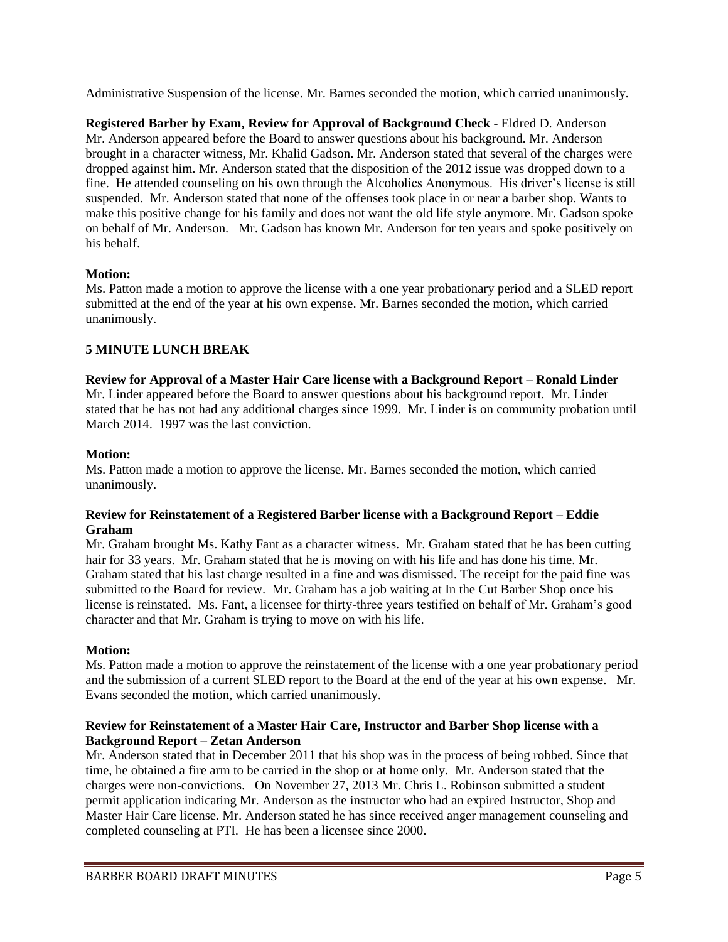Administrative Suspension of the license. Mr. Barnes seconded the motion, which carried unanimously.

**Registered Barber by Exam, Review for Approval of Background Check** - Eldred D. Anderson Mr. Anderson appeared before the Board to answer questions about his background. Mr. Anderson brought in a character witness, Mr. Khalid Gadson. Mr. Anderson stated that several of the charges were dropped against him. Mr. Anderson stated that the disposition of the 2012 issue was dropped down to a fine. He attended counseling on his own through the Alcoholics Anonymous. His driver's license is still suspended. Mr. Anderson stated that none of the offenses took place in or near a barber shop. Wants to make this positive change for his family and does not want the old life style anymore. Mr. Gadson spoke on behalf of Mr. Anderson. Mr. Gadson has known Mr. Anderson for ten years and spoke positively on his behalf.

# **Motion:**

Ms. Patton made a motion to approve the license with a one year probationary period and a SLED report submitted at the end of the year at his own expense. Mr. Barnes seconded the motion, which carried unanimously.

# **5 MINUTE LUNCH BREAK**

**Review for Approval of a Master Hair Care license with a Background Report – Ronald Linder** Mr. Linder appeared before the Board to answer questions about his background report. Mr. Linder stated that he has not had any additional charges since 1999. Mr. Linder is on community probation until March 2014. 1997 was the last conviction.

# **Motion:**

Ms. Patton made a motion to approve the license. Mr. Barnes seconded the motion, which carried unanimously.

# **Review for Reinstatement of a Registered Barber license with a Background Report – Eddie Graham**

Mr. Graham brought Ms. Kathy Fant as a character witness. Mr. Graham stated that he has been cutting hair for 33 years. Mr. Graham stated that he is moving on with his life and has done his time. Mr. Graham stated that his last charge resulted in a fine and was dismissed. The receipt for the paid fine was submitted to the Board for review. Mr. Graham has a job waiting at In the Cut Barber Shop once his license is reinstated. Ms. Fant, a licensee for thirty-three years testified on behalf of Mr. Graham's good character and that Mr. Graham is trying to move on with his life.

# **Motion:**

Ms. Patton made a motion to approve the reinstatement of the license with a one year probationary period and the submission of a current SLED report to the Board at the end of the year at his own expense. Mr. Evans seconded the motion, which carried unanimously.

# **Review for Reinstatement of a Master Hair Care, Instructor and Barber Shop license with a Background Report – Zetan Anderson**

Mr. Anderson stated that in December 2011 that his shop was in the process of being robbed. Since that time, he obtained a fire arm to be carried in the shop or at home only. Mr. Anderson stated that the charges were non-convictions. On November 27, 2013 Mr. Chris L. Robinson submitted a student permit application indicating Mr. Anderson as the instructor who had an expired Instructor, Shop and Master Hair Care license. Mr. Anderson stated he has since received anger management counseling and completed counseling at PTI. He has been a licensee since 2000.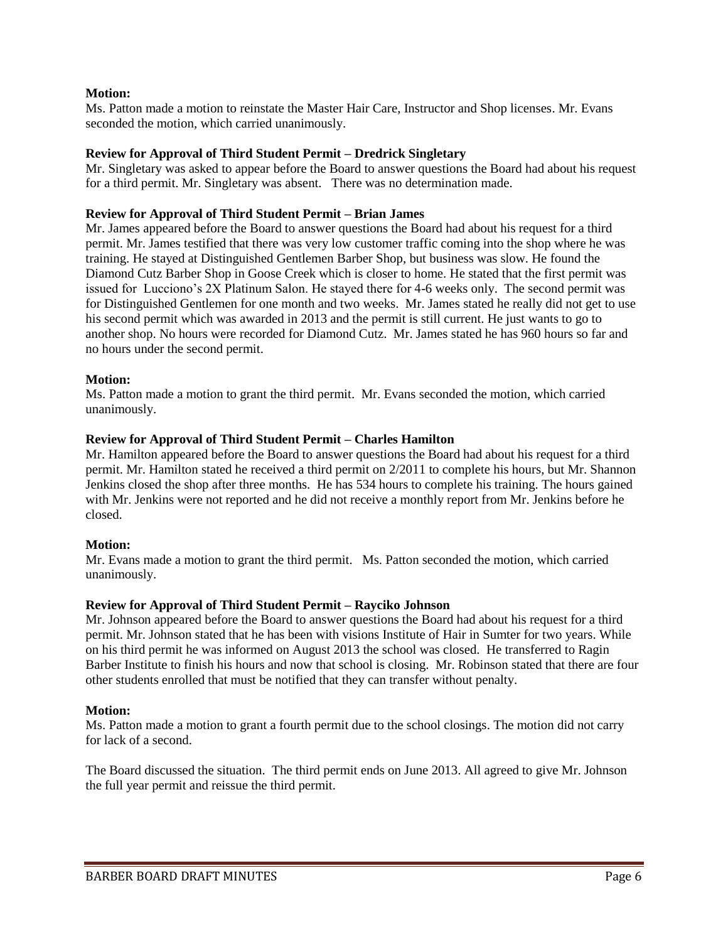## **Motion:**

Ms. Patton made a motion to reinstate the Master Hair Care, Instructor and Shop licenses. Mr. Evans seconded the motion, which carried unanimously.

## **Review for Approval of Third Student Permit – Dredrick Singletary**

Mr. Singletary was asked to appear before the Board to answer questions the Board had about his request for a third permit. Mr. Singletary was absent. There was no determination made.

### **Review for Approval of Third Student Permit – Brian James**

Mr. James appeared before the Board to answer questions the Board had about his request for a third permit. Mr. James testified that there was very low customer traffic coming into the shop where he was training. He stayed at Distinguished Gentlemen Barber Shop, but business was slow. He found the Diamond Cutz Barber Shop in Goose Creek which is closer to home. He stated that the first permit was issued for Lucciono's 2X Platinum Salon. He stayed there for 4-6 weeks only. The second permit was for Distinguished Gentlemen for one month and two weeks. Mr. James stated he really did not get to use his second permit which was awarded in 2013 and the permit is still current. He just wants to go to another shop. No hours were recorded for Diamond Cutz. Mr. James stated he has 960 hours so far and no hours under the second permit.

## **Motion:**

Ms. Patton made a motion to grant the third permit. Mr. Evans seconded the motion, which carried unanimously.

### **Review for Approval of Third Student Permit – Charles Hamilton**

Mr. Hamilton appeared before the Board to answer questions the Board had about his request for a third permit. Mr. Hamilton stated he received a third permit on 2/2011 to complete his hours, but Mr. Shannon Jenkins closed the shop after three months. He has 534 hours to complete his training. The hours gained with Mr. Jenkins were not reported and he did not receive a monthly report from Mr. Jenkins before he closed.

### **Motion:**

Mr. Evans made a motion to grant the third permit. Ms. Patton seconded the motion, which carried unanimously.

### **Review for Approval of Third Student Permit – Rayciko Johnson**

Mr. Johnson appeared before the Board to answer questions the Board had about his request for a third permit. Mr. Johnson stated that he has been with visions Institute of Hair in Sumter for two years. While on his third permit he was informed on August 2013 the school was closed. He transferred to Ragin Barber Institute to finish his hours and now that school is closing. Mr. Robinson stated that there are four other students enrolled that must be notified that they can transfer without penalty.

### **Motion:**

Ms. Patton made a motion to grant a fourth permit due to the school closings. The motion did not carry for lack of a second.

The Board discussed the situation. The third permit ends on June 2013. All agreed to give Mr. Johnson the full year permit and reissue the third permit.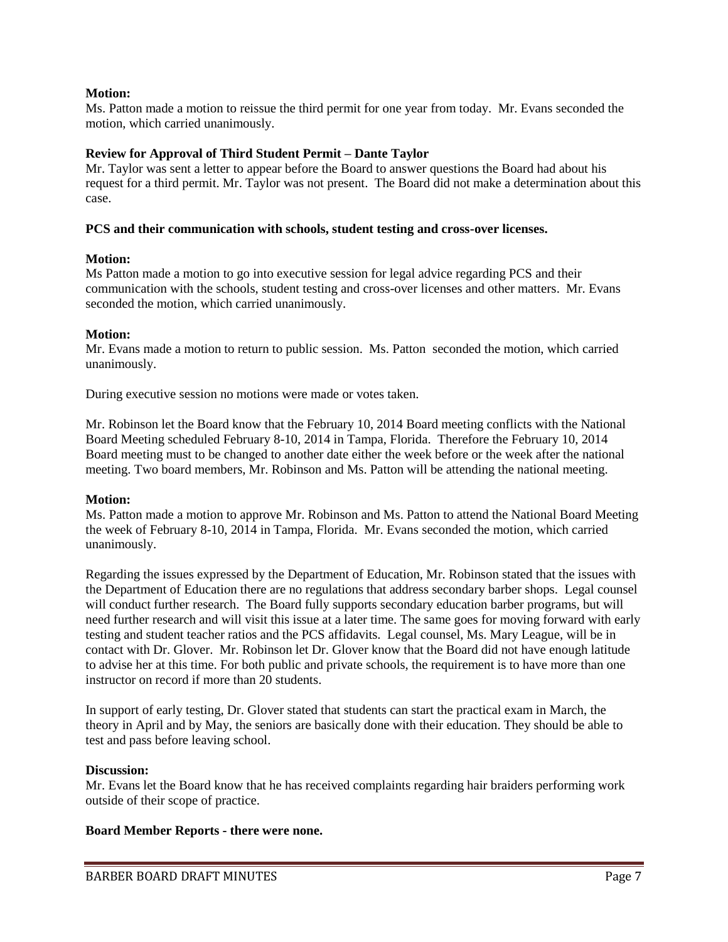## **Motion:**

Ms. Patton made a motion to reissue the third permit for one year from today. Mr. Evans seconded the motion, which carried unanimously.

## **Review for Approval of Third Student Permit – Dante Taylor**

Mr. Taylor was sent a letter to appear before the Board to answer questions the Board had about his request for a third permit. Mr. Taylor was not present. The Board did not make a determination about this case.

## **PCS and their communication with schools, student testing and cross-over licenses.**

# **Motion:**

Ms Patton made a motion to go into executive session for legal advice regarding PCS and their communication with the schools, student testing and cross-over licenses and other matters. Mr. Evans seconded the motion, which carried unanimously.

# **Motion:**

Mr. Evans made a motion to return to public session. Ms. Patton seconded the motion, which carried unanimously.

During executive session no motions were made or votes taken.

Mr. Robinson let the Board know that the February 10, 2014 Board meeting conflicts with the National Board Meeting scheduled February 8-10, 2014 in Tampa, Florida. Therefore the February 10, 2014 Board meeting must to be changed to another date either the week before or the week after the national meeting. Two board members, Mr. Robinson and Ms. Patton will be attending the national meeting.

## **Motion:**

Ms. Patton made a motion to approve Mr. Robinson and Ms. Patton to attend the National Board Meeting the week of February 8-10, 2014 in Tampa, Florida. Mr. Evans seconded the motion, which carried unanimously.

Regarding the issues expressed by the Department of Education, Mr. Robinson stated that the issues with the Department of Education there are no regulations that address secondary barber shops. Legal counsel will conduct further research. The Board fully supports secondary education barber programs, but will need further research and will visit this issue at a later time. The same goes for moving forward with early testing and student teacher ratios and the PCS affidavits. Legal counsel, Ms. Mary League, will be in contact with Dr. Glover. Mr. Robinson let Dr. Glover know that the Board did not have enough latitude to advise her at this time. For both public and private schools, the requirement is to have more than one instructor on record if more than 20 students.

In support of early testing, Dr. Glover stated that students can start the practical exam in March, the theory in April and by May, the seniors are basically done with their education. They should be able to test and pass before leaving school.

## **Discussion:**

Mr. Evans let the Board know that he has received complaints regarding hair braiders performing work outside of their scope of practice.

## **Board Member Reports - there were none.**